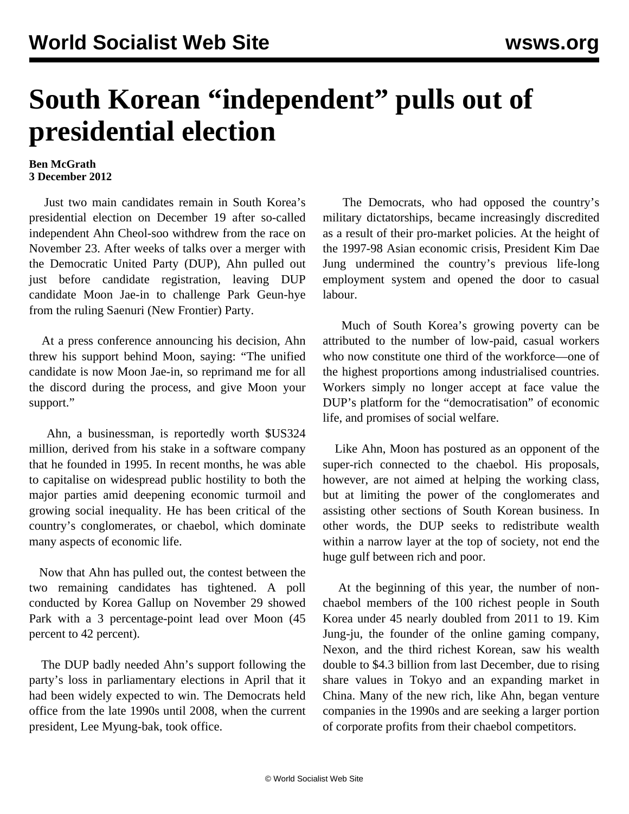## **South Korean "independent" pulls out of presidential election**

## **Ben McGrath 3 December 2012**

 Just two main candidates remain in South Korea's presidential election on December 19 after so-called independent Ahn Cheol-soo withdrew from the race on November 23. After weeks of talks over a merger with the Democratic United Party (DUP), Ahn pulled out just before candidate registration, leaving DUP candidate Moon Jae-in to challenge Park Geun-hye from the ruling Saenuri (New Frontier) Party.

 At a press conference announcing his decision, Ahn threw his support behind Moon, saying: "The unified candidate is now Moon Jae-in, so reprimand me for all the discord during the process, and give Moon your support."

 Ahn, a businessman, is reportedly worth \$US324 million, derived from his stake in a software company that he founded in 1995. In recent months, he was able to capitalise on widespread public hostility to both the major parties amid deepening economic turmoil and growing social inequality. He has been critical of the country's conglomerates, or chaebol, which dominate many aspects of economic life.

 Now that Ahn has pulled out, the contest between the two remaining candidates has tightened. A poll conducted by Korea Gallup on November 29 showed Park with a 3 percentage-point lead over Moon (45 percent to 42 percent).

 The DUP badly needed Ahn's support following the party's loss in parliamentary elections in April that it had been widely expected to win. The Democrats held office from the late 1990s until 2008, when the current president, Lee Myung-bak, took office.

 The Democrats, who had opposed the country's military dictatorships, became increasingly discredited as a result of their pro-market policies. At the height of the 1997-98 Asian economic crisis, President Kim Dae Jung undermined the country's previous life-long employment system and opened the door to casual labour.

 Much of South Korea's growing poverty can be attributed to the number of low-paid, casual workers who now constitute one third of the workforce—one of the highest proportions among industrialised countries. Workers simply no longer accept at face value the DUP's platform for the "democratisation" of economic life, and promises of social welfare.

 Like Ahn, Moon has postured as an opponent of the super-rich connected to the chaebol. His proposals, however, are not aimed at helping the working class, but at limiting the power of the conglomerates and assisting other sections of South Korean business. In other words, the DUP seeks to redistribute wealth within a narrow layer at the top of society, not end the huge gulf between rich and poor.

 At the beginning of this year, the number of nonchaebol members of the 100 richest people in South Korea under 45 nearly doubled from 2011 to 19. Kim Jung-ju, the founder of the online gaming company, Nexon, and the third richest Korean, saw his wealth double to \$4.3 billion from last December, due to rising share values in Tokyo and an expanding market in China. Many of the new rich, like Ahn, began venture companies in the 1990s and are seeking a larger portion of corporate profits from their chaebol competitors.